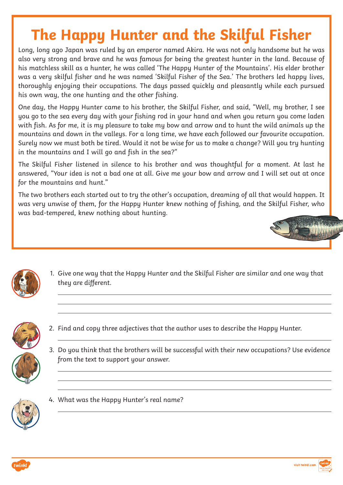## **The Happy Hunter and the Skilful Fisher**

Long, long ago Japan was ruled by an emperor named Akira. He was not only handsome but he was also very strong and brave and he was famous for being the greatest hunter in the land. Because of his matchless skill as a hunter, he was called 'The Happy Hunter of the Mountains'. His elder brother was a very skilful fisher and he was named 'Skilful Fisher of the Sea.' The brothers led happy lives, thoroughly enjoying their occupations. The days passed quickly and pleasantly while each pursued his own way, the one hunting and the other fishing.

One day, the Happy Hunter came to his brother, the Skilful Fisher, and said, "Well, my brother, I see you go to the sea every day with your fishing rod in your hand and when you return you come laden with fish. As for me, it is my pleasure to take my bow and arrow and to hunt the wild animals up the mountains and down in the valleys. For a long time, we have each followed our favourite occupation. Surely now we must both be tired. Would it not be wise for us to make a change? Will you try hunting in the mountains and I will go and fish in the sea?"

The Skilful Fisher listened in silence to his brother and was thoughtful for a moment. At last he answered, "Your idea is not a bad one at all. Give me your bow and arrow and I will set out at once for the mountains and hunt."

The two brothers each started out to try the other's occupation, dreaming of all that would happen. It was very unwise of them, for the Happy Hunter knew nothing of fishing, and the Skilful Fisher, who was bad-tempered, knew nothing about hunting.





1. Give one way that the Happy Hunter and the Skilful Fisher are similar and one way that they are different.



- 2. Find and copy three adjectives that the author uses to describe the Happy Hunter.
- 3. Do you think that the brothers will be successful with their new occupations? Use evidence from the text to support your answer.





#### 4. What was the Happy Hunter's real name?